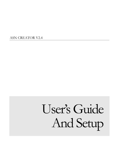ASN CREATOR V2.4

# User's Guide And Setup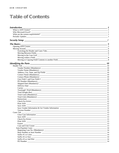# **Table of Contents**

| $The \; Basis \; \underline{\hspace{2cm}} \hspace{2cm} 5$ |                |
|-----------------------------------------------------------|----------------|
|                                                           |                |
|                                                           |                |
|                                                           |                |
|                                                           | 6              |
|                                                           |                |
|                                                           |                |
|                                                           |                |
|                                                           | $\sim$ 10      |
|                                                           |                |
|                                                           |                |
|                                                           |                |
|                                                           |                |
|                                                           |                |
|                                                           |                |
|                                                           |                |
|                                                           |                |
|                                                           |                |
|                                                           |                |
| Carrier                                                   |                |
|                                                           |                |
|                                                           |                |
|                                                           |                |
|                                                           |                |
|                                                           |                |
|                                                           |                |
|                                                           |                |
| Save ASN                                                  |                |
|                                                           |                |
|                                                           | $\frac{1}{2}$  |
| Cases Tab                                                 | $\frac{13}{2}$ |
| Clear Case Information 2012 13                            |                |
|                                                           |                |
|                                                           |                |
|                                                           |                |
|                                                           |                |
|                                                           |                |
|                                                           | -14            |
|                                                           | -14            |
|                                                           | -14            |
|                                                           | -14            |
| Suffix #2 or Size $\_\_$                                  | -14            |
|                                                           | -14            |
|                                                           | $-14$          |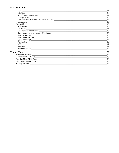| <b>LOT</b> | -14            |
|------------|----------------|
|            |                |
|            |                |
|            |                |
|            |                |
|            |                |
|            |                |
|            |                |
|            |                |
|            |                |
|            |                |
|            |                |
|            |                |
|            |                |
|            |                |
|            |                |
|            |                |
|            | 17             |
|            | 18             |
|            |                |
|            | -18            |
|            |                |
|            | -19            |
|            | $\frac{19}{2}$ |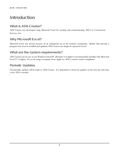# **Introduction**

## What is ASN Creator?

ASN Creator was developed using Microsoft Excel for creating and communicating ASN's to Cornerstone Services, Inc.

## Why Microsoft Excel?

Microsoft Excel was chosen because of its widespread use in the business community. Rather than provide a program that must be installed and updated, ASN Creator can simply be opened in Excel.

## What are the system requirements?

ASN Creator can be run on any Windows based PC (Pentium 4 or higher is recommended) installed with Microsoft Excel 97 or higher. If you are using a computer from Apple (i.e. MAC) contact vendor compliance.

## Periodic Updates

Occasionally, updates will be made to ASN Creator. It is important to check for updates on the web site each time a new ASN is needed.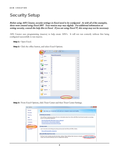# Security Setup

#### Before using ASN Creator, security settings in Excel need to be configured. As with all of the examples, these were created using Excel 2007. Your version may vary slightly. For additional information on setting security, consult the help files in Excel. If you are using Excel 97, this setup may not be necessary.

ASN Creator uses programming (macros) to help create ASN's. It will not run correctly without first being configured successfully to run macros.

Step 1: Open Excel.

Step 2: Click the office button, and select Excel Options.

| if)<br><b>CH</b><br>g | ■  ■ 2↓<br>∖≑                          |                |
|-----------------------|----------------------------------------|----------------|
|                       |                                        |                |
| New                   | <b>Recent Documents</b>                |                |
|                       | 1                                      | 一间             |
| Open                  | $\overline{2}$                         | $-\Box$        |
|                       | 3                                      | $-\Box$        |
| Convert               | $\overline{4}$                         | 一间             |
|                       | $\overline{5}$                         | $-\Box$        |
| Save                  | $\overline{6}$                         | 一回             |
|                       | Z                                      | $\overline{=}$ |
|                       | 8                                      | 一间             |
| Save As               | $\overline{2}$                         | 一回             |
|                       |                                        | 一日             |
| Print<br>Þ            |                                        | 一间             |
|                       |                                        | 一回             |
| Prepare<br>Þ          |                                        | $-\Box$        |
|                       |                                        | 一间             |
| Send<br>Þ             |                                        | 一间             |
|                       |                                        | 一回             |
| Ē<br>Publish<br>Þ     |                                        | $-\Box$        |
|                       |                                        |                |
| Close                 |                                        |                |
|                       |                                        |                |
|                       | <b>Excel Options</b> X Exit Excel<br>闘 |                |

Step 3: From Excel Options, click Trust Center and then Trust Center Settings.

| <b>Excel Options</b>                    |                                                                                                                                                                                         |
|-----------------------------------------|-----------------------------------------------------------------------------------------------------------------------------------------------------------------------------------------|
| Popular<br><b>Formulas</b>              | Help keep your documents safe and your computer secure and healthy.                                                                                                                     |
| Proofing                                | Protecting your privacy                                                                                                                                                                 |
| Save                                    | Microsoft cares about your privacy. For more information about how Microsoft Office Excel helps to protect your privacy,<br>please see the privacy statements.                          |
| Advanced                                | Show the Microsoft Office Excel privacy statement                                                                                                                                       |
| Customize                               | Microsoft Office Online privacy statement<br><b>Customer Experience Improvement Program</b>                                                                                             |
| Add-Ins                                 | <b>Security &amp; more</b>                                                                                                                                                              |
| <b>Trust Center</b><br><b>Resources</b> | Learn more about protecting your privacy and security from Microsoft Office Online.                                                                                                     |
|                                         | <b>Microsoft Trustworthy Computing</b>                                                                                                                                                  |
|                                         | <b>Microsoft Office Excel Trust Center</b>                                                                                                                                              |
|                                         | The Trust Center contains security and privacy settings. These settings help keep your computer<br>Trust Center Settings<br>secure. We recommend that you do not change these settings. |
|                                         |                                                                                                                                                                                         |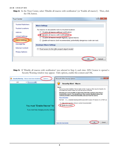Step 4: In the Trust Center, select 'Disable all macros with notification' (or 'Enable all macros'). Then, click the OK button.

| <b>Trust Center</b>                                                                                                  |                                                                                                                                                                                                                                                                                                |
|----------------------------------------------------------------------------------------------------------------------|------------------------------------------------------------------------------------------------------------------------------------------------------------------------------------------------------------------------------------------------------------------------------------------------|
| <b>Trusted Publishers</b><br><b>Trusted Locations</b><br>Add-ins<br><b>ActiveX Settings</b><br><b>Macro Settings</b> | <b>Macro Settings</b><br>For macros in documents not in a trusted location:<br>Disable all macros without notification<br>Disable all macros with notification<br>Disable all macros except digitally signed macros<br>Enable all macros (not recommended; potentially dangerous code can run) |
| Message Bar                                                                                                          | <b>Developer Macro Settings</b>                                                                                                                                                                                                                                                                |
| <b>External Content</b><br><b>Privacy Options</b>                                                                    | Trust access to the VBA project object model                                                                                                                                                                                                                                                   |
|                                                                                                                      | Cancel                                                                                                                                                                                                                                                                                         |

Step 5: If 'Disable all macros with notification' was selected in Step 4, each time ASN Creator is opened a Security Warning window may appear. Click options, enable this content and OK.

|                 | Security Warning Macros have been disabled.                                  | Options | P<br>$\mathbf x$<br>Microsoft Office Security Options                                                                                                                                                                                                                                                                                                                                                                                                                                                                                                                                                                          |
|-----------------|------------------------------------------------------------------------------|---------|--------------------------------------------------------------------------------------------------------------------------------------------------------------------------------------------------------------------------------------------------------------------------------------------------------------------------------------------------------------------------------------------------------------------------------------------------------------------------------------------------------------------------------------------------------------------------------------------------------------------------------|
| L <sub>22</sub> | $f_x$<br><b>COL</b><br>$\overline{\phantom{a}}$                              |         | <b>Security Alert - Macro</b>                                                                                                                                                                                                                                                                                                                                                                                                                                                                                                                                                                                                  |
|                 | You must "Enable Macros" for<br>If you need help changing security settings. |         | Macro<br>Macros have been disabled. Macros might contain viruses or other security hazards. Do<br>not enable this content unless you trust the source of this file.<br>Warning: It is not possible to determine that this content came from a<br>trustworthy source. You should leave this content disabled unless the<br>content provides critical functionality and you trust its source.<br>More information<br>File Path: C:\rs\kdistler\Desktop\ASNCreator\ASN Creator-CF-Generic-V2.1t-TEST.xls<br>Help protect me from unknown content (recommended)<br><b>O</b> Enable this content<br>Cancel<br>Open the Trust Center |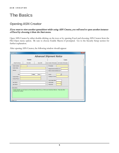# The Basics

## Opening ASN Creator

#### If you want to view another spreadsheet while using ASN Creator, you will need to open another instance of Excel by choosing it from the Start menu.

Open ASN Creator by either double-clicking on the icon or by opening Excel and choosing ASN Creator from the File\Open menu option. Be sure to choose Enable Macros if prompted. Go to the Security Setup section for further explanation.

After opening ASN Creator, the following window should appear:

| $\mathbf{x}$<br><b>ASN Creator</b>                                                                                                                                                                                                                                                                                         |  |  |  |  |  |
|----------------------------------------------------------------------------------------------------------------------------------------------------------------------------------------------------------------------------------------------------------------------------------------------------------------------------|--|--|--|--|--|
| <b>Advanced Shipment Notice</b>                                                                                                                                                                                                                                                                                            |  |  |  |  |  |
| Header<br>Cases                                                                                                                                                                                                                                                                                                            |  |  |  |  |  |
| <b>Check For Errors</b><br>Save Vendor Information<br>Get Vendor Information<br>Print ASN<br>Save ASN                                                                                                                                                                                                                      |  |  |  |  |  |
| Vendor Number<br>PO Number<br>Vendor Name<br>Shipped Date (mm/dd/yyyy)<br>Address<br>Delivery Date (mm/dd/yyyy)<br>State<br>Zip<br>City<br>Carrier<br>Tracking # / Pro#<br><b>Contact Name</b><br>Contact Phone<br>Total Weight (bs)<br>User Field 1<br><b>Total Cases</b><br>0<br>User Field 2<br><b>Total Units</b><br>e |  |  |  |  |  |
| Instructions:<br>Vendor Number can be found on the Purchase Order (P.O.), or from your Inventory Planner. Press tab after<br>entering the number.<br>Version: 2.4                                                                                                                                                          |  |  |  |  |  |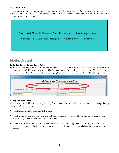If the window on the previous page does not open and the following appears, ASN Creator will not function. You must close ASN Creator, check your security settings, and Enable Macros if prompted. Refer to the Security Setup section for more information.



## Moving Around

#### Switching the Header and Cases Tabs

There are two main sections to ASN Creator: Header and Cases. The Header is used to enter vendor information, purchase order, and shipment information. The Cases tab is used for entering case information. To move between the two, simply click on the appropriate tab. Changing tabs can be done any time while an ASN is being entered.

|                  |                 |          | <b>Advanced Shipment Notice</b> |                        |  |
|------------------|-----------------|----------|---------------------------------|------------------------|--|
|                  | <b>I</b> leader |          |                                 | Cases                  |  |
| Check For Errors | Print ASN       | Save ASN | Save Vendor Information         | Get Vendor Information |  |

#### Moving Between Fields

Moving from one field to another (e.g. Moving from Vendor Number to Vendor Name) can be accomplished by doing one of the following:

- Use the mouse and to point and click in field.
- Use the Tab key to move from one field or button to the next. If the shift key is held down while pressing the Tab key, movement will be in the opposite direction.
- Use the Enter key to move from one field to the next. Be careful using the Enter key. If you have a button selected, such as the Check For Errors button, and press Enter, it is just like clicking the button with the mouse.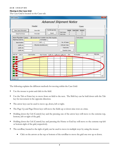#### Moving in the Case Grid

The Case Grid is located on the Cases tab.

| <b>ASN</b> Creator                                                                                                                     |                                                                                                          |                                           |                                                                               |                                   | $\mathbf{x}$          |
|----------------------------------------------------------------------------------------------------------------------------------------|----------------------------------------------------------------------------------------------------------|-------------------------------------------|-------------------------------------------------------------------------------|-----------------------------------|-----------------------|
|                                                                                                                                        |                                                                                                          |                                           | <b>Advanced Shipment Notice</b>                                               |                                   |                       |
|                                                                                                                                        | Header                                                                                                   |                                           |                                                                               | Cases                             |                       |
| Clear Case Information<br>Save ASN                                                                                                     |                                                                                                          | For BD Use Only                           | Header                                                                        | Case Detail<br>Variance           |                       |
| Check For Errors                                                                                                                       | Print ASN                                                                                                | Export                                    | o<br><b>Total Cases</b><br><b>Total Units</b><br>o                            | $\circ$<br>٥<br>$\circ$<br>ō      |                       |
| Auto-Populate Cases:<br>Beginning Case No.<br><b>Base Number</b><br>Suffix $\equiv 1$<br>Suffix #2<br>Suffix $#3$<br>Add Del<br>Line # | Calculate Next Available Case After Populate<br>PO Number<br>LOT<br>Mfg Date (mm/dd/yyyy)<br>Case Number | Base Number Suffix #1 Suffix #2 Suffix #3 | No. of Cases<br>Units per Case<br><b>Total Units</b><br>Populate Cases<br>Qty | Instructions:<br>LOT<br>PO Number | Mfg Date<br>$\hat{ }$ |
|                                                                                                                                        |                                                                                                          |                                           |                                                                               |                                   | ۰                     |

The following explains the different methods for moving within the Case Grid:

- Use the mouse to point and click in the field.
- Use the Tab or Enter key to move from on field to the next. The Shift key can be held down with the Tab key for movement in the opposite direction.
- The arrow keys can be used to move up, down, left or right.
- The Page Up and Page Down keys will move the fields up or down nine rows at a time.
- Holding down the Ctrl (Control) key and the pressing one of the arrow keys will move to the extreme top, bottom, left or right of the grid.
- Holding down the Ctrl (Control) key and pressing the Home or End key will move to the extreme top-left or bottom-right of the grid, respectively.
- The scrollbar, located to the right of grid, can be used to move in multiple ways by using the mouse:
	- Click on the arrows at the top or bottom of the scrollbar to move the grid one row up or down.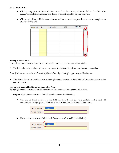- Click on any part of the scroll bar, other than the arrows, above or below the slider (the square/rectangle that moves up and down) to cause the grid to page up or down.
- Click on the slider, hold the mouse button, and move the slider up or down to move multiple rows at a time in the grid.

| Suffix #3 Qty | PO Number | LOT | Mfg Date |  |
|---------------|-----------|-----|----------|--|
|               |           |     |          |  |
|               |           |     |          |  |
|               |           |     |          |  |
|               |           |     |          |  |
|               |           |     |          |  |
|               |           |     |          |  |
|               |           |     |          |  |
|               |           |     |          |  |
|               |           |     |          |  |

#### Moving within a Field

Not only can movement be done from field to field, but it can also be done within a field:

The left and right arrow keys will move the cursor (the blinking line) from one character to another.

*Note: If the cursor is not visible and the text is highlighted all one color, click the left or right arrow, and it will appear.*

The Home key will move the cursor to the beginning of the text, and the End will move the cursor to the end of the text.

#### Moving or Copying Field Contents to another Field

By highlighting the contents of a field, the contents can be moved or copied to other fields.

**Step 1:** Highlight the contents of a field by doing one of the following:

• Use Tab or Enter to move to the field that is to be copied. The contents of the field will automatically be highlighted. Notice the Vendor Number highlighted in blue below:

| Vendor Number 11111111111 |  |
|---------------------------|--|
| Vendor Name               |  |

• Use the mouse arrow to click in the left-most area of the field (circled below).

| Vendor Number | 11111111 |
|---------------|----------|
| Vendor Name   |          |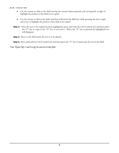- Use the mouse to click in the field, leaving the mouse button pressed, and moving left or right to highlight the portion of the field to be copied.
- Use the mouse to click in the field, and then hold down the Shift key while pressing the left or right arrow key to highlight the portion of the field to be copied.
- Step 2: Once the text to be copied has been highlighted, press and hold the Ctrl (Control) key and then press the "C" key to copy or the "X" key to cut/move. When the "X" key is pressed the highlighted text will disappear.
- **Step 3:** Move to the field where the text is to be placed.

Step 4: Press and hold the Ctrl (Control) key and then press the "V" key to paste/put the text in the field.

*Note: Repeat Steps 3 and 4 to copy the same text to other fields.*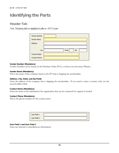# Identifying the Parts

## Header Tab

*Note: Mandatory fields are highlighted in yellow in ASN Creator.*

| Vendor Number<br>Vendor Name |                     |  |
|------------------------------|---------------------|--|
| Address                      |                     |  |
|                              |                     |  |
| City                         | Zip<br><b>State</b> |  |
| Contact Name                 |                     |  |
| Contact Phone                |                     |  |

#### Vendor Number (Mandatory)

Vendor Number can be found on the Purchase Order (P.O.), or from your Inventory Planner.

#### Vendor Name (Mandatory)

This is the name of the company listed on the PO that is shipping the merchandise.

#### Address, City, State, and Zip Fields

Enter the address of the company that is shipping the merchandise. If you need to enter a country code, use the second address field.

#### Contact Name (Mandatory)

Enter the name of the individual in the organization that can be contacted for support if needed.

#### Contact Phone (Mandatory)

This is the phone number for the contact name.

| User Field 1 |  |
|--------------|--|
| User Field 2 |  |

#### User Field 1 and User Field 2

Enter any internal or miscellaneous information.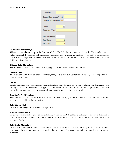| <b>PO</b> Number                                               |  |
|----------------------------------------------------------------|--|
| Shipped Date (mm/dd/yyyy)<br>Delivery Date (mm/dd/yyyy)        |  |
| Carrier<br>Tracking # / Pro#                                   |  |
| Total Weight (lbs)<br><b>Total Cases</b><br><b>Total Units</b> |  |

#### PO Number (Mandatory)

This can be found on the top of the Purchase Order. The PO Number must match exactly. The number entered will automatically be prefixed with the correct number of zeros after leaving the field. If the ASN is for more than one PO, enter the primary PO here. This will be the default PO. Other PO numbers can be entered in the Case Grid for individual cases.

#### Shipped Date (Mandatory)

The Shipped Date must be entered mm/dd/yyyy, and is the day tendered to the Carrier.

#### Delivery Date

The Delivery Date must be entered mm/dd/yyyy, and is the day Cornerstone Services, Inc. is expected to receive the shipment.

#### Carrier

Select a preferred abbreviated carrier/shipment method from the drop down box by clicking the down arrow and clicking on the appropriate option, or type the abbreviation for the carrier if it is not listed. Upon entering the field, typing the first letters of the abbreviation will automatically populate the closest match.

#### Tracking# / Pro# (Mandatory)

This number can be obtained from the carrier. If small parcel, type the shipment tracking number. If import vendor, enter the House Bill of Lading.

#### Total Weight (lbs)

Enter the total weight of the product being shipped.

#### Total Cases (Mandatory)

Enter the total number of cases on the shipment. When the ASN is complete and ready to be saved, this number must match the total number of cases entered in the Case Grid. The maximum number of cases that can be entered is 9,999.

#### Total Units (Mandatory)

Enter the total number of units on the shipment. When the ASN is complete and ready to be saved, this number must match the total number of units entered in the Case Grid. The maximum number of units that can be entered is 999,999.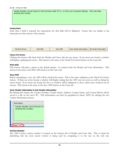Vendor Number can be found on the Purchase Order (P.O.), or from your Inventory Planner. Press tab after entering the number.

#### **Instructions**

Each time a field is selected, the instructions for that field will be displayed. Notice they are similar to the instructions in this section of the manual.

|  | Check For Errors I | Print ASN | Save ASN: | Save Vendor Information | Get Vendor Information |
|--|--------------------|-----------|-----------|-------------------------|------------------------|
|--|--------------------|-----------|-----------|-------------------------|------------------------|

#### Check For Errors

Clicking this button will check both the Header and Cases tabs for any errors. If any errors are found, a window will display explaining the errors. This button is the same as the Check For Errors button on the Cases tab.

#### Print ASN

This button will print a report to the default printer. It contains both the Header and Case information. This button is the same as the Print ASN button on the Cases tab.

#### Save ASN

Before attempting to save, the ASN will be checked for errors. This is the same validation as the Check For Errors button. If there are errors found, a window will display stating that the ASN was not saved, as well as, listing the errors found. If no errors are found, the Save As window will be displayed so that a name and a location can be chosen. This button is the same as the Save ASN button on the Cases tab.

#### Save Vendor Information & Get Vendor Information

By clicking this button, the Vendor Number, Vendor Name, Address, Contact Name, and Contact Phone will be saved to a file on the user's PC. This information can then be populated in future ASN's by clicking the Get Vendor Information button.

#### Version Number

The ASN Creator version number is located on the bottom left of Header and Cases tabs. This is useful for identifying that the most recent version is being used by comparing it to the one on the web site.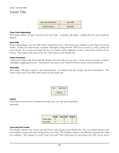## Cases Tab

| Clear Case Information  | Save ASN  |
|-------------------------|-----------|
| <b>Check For Errors</b> | Print ASN |

#### Clear Case Information

This button deletes all cases entered in the Case Grid. A prompt will display verifying that the cases should be deleted.

#### Save ASN

Before attempting to save, the ASN will be checked for errors. This is the same validation as the Check For Errors button. If there are errors found, a window will display stating that the ASN was not saved, as well as, listing the errors found. If no errors are found, the Save As window will be displayed so that a name and a location can be chosen. This button is the same as the Save ASN button on the Header tab.

#### Check For Errors

Clicking this button will check both the Header and Cases tabs for any errors. If any errors are found, a window will display explaining the errors. This button is the same as the Check For Errors button on the Header tab.

#### Print ASN

This button will print a report to the default printer. It contains both the Header and Case information. This button is the same as the Print ASN button on the Header tab.



#### Export

This button is reserved for Cornerstone Services, Inc. use only and is password protected.

|             |   | Header Case Detail Variance |  |
|-------------|---|-----------------------------|--|
| Total Cases |   |                             |  |
| Total Units | п | П                           |  |

#### Case and Unit Counts

The Header column is the Total Cases and Total Units entered on the Header tab. The Case Detail column is the total number of cases and units entered in the Case Grid. The Variance column is the difference between the other two columns. The variance for both Total Cases and Total Units must be zero before the ASN can be saved.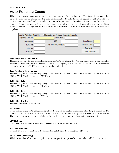## **Auto-Populate Cases**

This section is a convenient way to populate multiple cases into Case Grid quickly. This feature is not required to be used. Cases can be entered into the Case Grid manually. In order to use this section a valid UCC-128 case number must be entered and the number of cases to be populated. The other information may be filled in if desired. The case numbers will be generated sequentially with the proper check digit when the Populate Cases button is clicked. Changes can be made to the case information in the Case Grid after the cases have been populated.



#### Beginning Case No. (Mandatory)

This is the first case to be generated and must meet UCC-128 standards. You can double click in this field after entering 19 of the 20 numbers to generate a correct check digit if you don't have it. This check digit must match the check digit on your UCC-128 labels or they must be reprinted.

#### Base Number or Item Number

This field may display differently depending on your version. This should match the information on the PO. If the PO has 23001 BLA 2/3, then enter 23001 here.

#### Suffix #1 or Color

This field may display differently depending on your version. This should match the information on the PO. If the PO has 23001 BLA 2/3, then enter BLA here.

#### Suffix #2 or Size

This field may display differently depending on your version. This should match the information on the PO. If the PO has 23001 BLA 2/3, then enter 2/3 here.

#### Suffix #3 or 2nd Dim

This field is reserved for future use.

#### PO Number

If you wish to enter a PO Number different than the one on the header, enter it here. If nothing is entered, the PO Number on the header will be assumed. PO Number can be found on the top of the PO and must match exactly. The number entered will automatically be prefixed with the correct number of zeros after leaving the field.

#### LOT (Optional)

If your item uses lot control, enter up to 13 characters for the lot number here.

#### Mfg Date (Optional)

If your item uses lot control, enter the manufacture date here in the format (mm/dd/yyyy).

#### No. of Cases (Mandatory)

This is the number of cases to be populated in the case grid for the particular item number and PO entered above.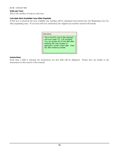#### Units per Case

This is the number of units in each case.

#### Calculate Next Available Case After Populate

If this box is checked, the next available case number will be calculated and entered into the Beginning Case No. after populating cases. If you leave this box unchecked, the original case number entered will remain.

| Instructions:                                                                                                                                                                                                                 |  |  |  |  |  |  |  |
|-------------------------------------------------------------------------------------------------------------------------------------------------------------------------------------------------------------------------------|--|--|--|--|--|--|--|
| This is the first case in the shipment,<br>and must meet UCC 128 standards.<br>You can double click in this field after<br>entering the case number to<br>generate a correct check digit. Press<br>tab after entering number. |  |  |  |  |  |  |  |

#### Instructions

Each time a field is selected, the instructions for that field will be displayed. Notice they are similar to the instructions in this section of the manual.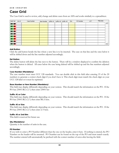## **Case Grid**

The Case Grid is used to review, add, change and delete cases from an ASN and works similarly to a spreadsheet.

| Add Del Line # | Case Number | Item Number Suffix #1 Suffix #2 Suffix #3 Qty |  |  | PO Number | LOT | Mfg Date |   |
|----------------|-------------|-----------------------------------------------|--|--|-----------|-----|----------|---|
| <b>I</b> and   |             |                                               |  |  |           |     |          | ▴ |
| п              |             |                                               |  |  |           |     |          |   |
|                |             |                                               |  |  |           |     |          |   |
|                |             |                                               |  |  |           |     |          |   |
|                |             |                                               |  |  |           |     |          |   |
|                |             |                                               |  |  |           |     |          |   |
| п              |             |                                               |  |  |           |     |          |   |
|                |             |                                               |  |  |           |     |          |   |
|                |             |                                               |  |  |           |     |          |   |

#### Add Button

Click the add button beside the line where a new line is to be inserted. The case on that line and the ones below it will be shifted down and the line number adjusted accordingly.

#### Del Button

The delete button will delete the line next to the button. There will be a window displayed to confirm the deletion when the button is clicked. All cases below the case being deleted will be shifted up and the line numbers adjusted accordingly.

#### Case Number (Mandatory)

The case number must meet UCC 128 standards. You can double click in this field after entering 19 of the 20 numbers to generate a correct check digit if you don't have it. This check digit must match the check digit on your UCC-128 label or it must be reprinted.

#### Base Number or Item Number (Mandatory)

This field may display differently depending on your version. This should match the information on the PO. If the PO has 23001 BLA 2/3, then enter 23001 her

#### Suffix #1 or Color

This field may display differently depending on your version. This should match the information on the PO. If the PO has 23001 BLA 2/3, then enter BLA here.

#### Suffix #2 or Size

This field may display differently depending on your version. This should match the information on the PO. If the PO has 23001 BLA 2/3, then enter 2/3 here.

#### Suffix #3 or 2nd Dim

This field is reserved for future use.

#### Qty (Mandatory)

Quantity is the number of units in the case.

#### PO Number

If you wish to enter a PO Number different than the one on the header, enter it here. If nothing is entered, the PO Number on the header will be assumed. PO Number can be found on the top of the PO and must match exactly. The number entered will automatically be prefixed with the correct number of zeros after leaving the field.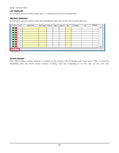#### LOT (Optional)

If your item uses lot control, enter up to 13 characters for the lot number here.

#### Mfg Date (Optional)

If your item uses lot control, enter the manufacture date here in the format (mm/dd/yyyy).

| Add Del Line # | Case Number | Base Number Suffix #1 Suffix #2 Suffix #3 Qty |  |  | PO Number | LOT | Mfg Date |                     |
|----------------|-------------|-----------------------------------------------|--|--|-----------|-----|----------|---------------------|
|                |             |                                               |  |  |           |     |          | ∸                   |
|                |             |                                               |  |  |           |     |          |                     |
|                |             |                                               |  |  |           |     |          |                     |
|                |             |                                               |  |  |           |     |          |                     |
|                |             |                                               |  |  |           |     |          |                     |
|                |             |                                               |  |  |           |     |          |                     |
|                |             |                                               |  |  |           |     |          |                     |
|                |             |                                               |  |  |           |     |          |                     |
|                |             |                                               |  |  |           |     |          | ×<br><b>SERVICE</b> |

#### Version Number

The ASN Creator version number is located on the bottom left of Header and Cases tabs. This is useful for identifying that the most recent version is being used by comparing it to the one on the web site.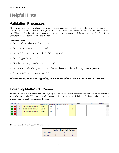# Helpful Hints

## **Validation Processes**

ASN Creator is only able to validate field lengths, data formats, case check digits, and whether a field is required. It can not know if a PO number is correct, whether a valid SKU has been entered, if the vendor number is correct, etc. When entering the information, double check it to be sure it is correct. It is very important that the ASN be accurate in order to save both time and money.

#### Validation Check List

- Is the vendor number & vendor name correct?
- Is the contact name & number accurate?
- Are the PO numbers the correct for the SKUs being sent?
- Is the shipped date accurate?
- Was the carrier & pro number entered correctly?
- Are the case numbers being sent accurate? Case numbers can not be used from previous shipments.
- Does the SKU information match the PO?

If there are any questions regarding any of these, please contact the inventory planner.

## **Entering Multi-SKU Cases**

To enter a case that contains multiple SKUs, simply enter the SKUs with the same case numbers on multiple lines in the Case Grid. The SKU must be different on each line. See the example below. The lines can be entered one after another but can be separated in the grid.

| Add Del | Line # | Case Number          | Item Number Suffix $\#1$ Suffix $\#2$ Suffix $\#3$ |            |  | <b>Oty</b> | PO Number | <b>LOT</b> | Mfg Date |                                                                                                                                                                                                                                |
|---------|--------|----------------------|----------------------------------------------------|------------|--|------------|-----------|------------|----------|--------------------------------------------------------------------------------------------------------------------------------------------------------------------------------------------------------------------------------|
|         |        | 00123456000000000018 | 12345                                              | <b>BLK</b> |  |            |           |            |          | let the set of the set of the set of the set of the set of the set of the set of the set of the set of the set of the set of the set of the set of the set of the set of the set of the set of the set of the set of the set o |
|         |        | 00123456000000000018 | 12345                                              | <b>BLK</b> |  |            |           |            |          |                                                                                                                                                                                                                                |
|         |        | 00123456000000000018 | 12345                                              | <b>BLK</b> |  |            |           |            |          |                                                                                                                                                                                                                                |
|         |        |                      |                                                    |            |  |            |           |            |          |                                                                                                                                                                                                                                |
|         |        |                      |                                                    |            |  |            |           |            |          |                                                                                                                                                                                                                                |

The case count will only count this case once.

|             | Header Case Detail Variance |   |
|-------------|-----------------------------|---|
| Total Cases |                             |   |
| Total Units | ь                           | ь |